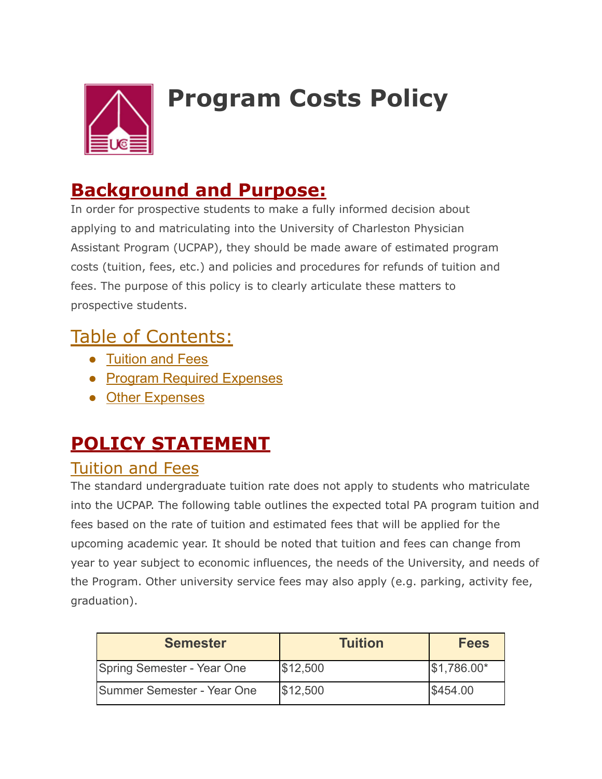

# **Program Costs Policy**

#### **Background and Purpose:**

In order for prospective students to make a fully informed decision about applying to and matriculating into the University of Charleston Physician Assistant Program (UCPAP), they should be made aware of estimated program costs (tuition, fees, etc.) and policies and procedures for refunds of tuition and fees. The purpose of this policy is to clearly articulate these matters to prospective students.

### Table of Contents:

- Tuition and Fees
- Program Required Expenses
- Other Expenses

# **POLICY STATEMENT**

#### Tuition and Fees

The standard undergraduate tuition rate does not apply to students who matriculate into the UCPAP. The following table outlines the expected total PA program tuition and fees based on the rate of tuition and estimated fees that will be applied for the upcoming academic year. It should be noted that tuition and fees can change from year to year subject to economic influences, the needs of the University, and needs of the Program. Other university service fees may also apply (e.g. parking, activity fee, graduation).

| <b>Semester</b>            | <b>Tuition</b> | <b>Fees</b>  |
|----------------------------|----------------|--------------|
| Spring Semester - Year One | \$12,500       | $$1,786.00*$ |
| Summer Semester - Year One | \$12,500       | \$454.00     |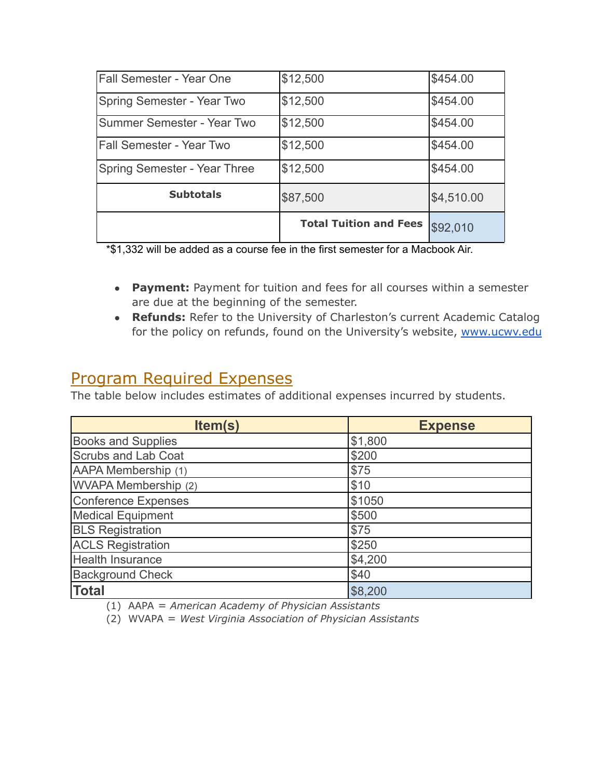| Fall Semester - Year One        | \$12,500                      | \$454.00   |
|---------------------------------|-------------------------------|------------|
| Spring Semester - Year Two      | \$12,500                      | \$454.00   |
| Summer Semester - Year Two      | \$12,500                      | \$454.00   |
| <b>Fall Semester - Year Two</b> | \$12,500                      | \$454.00   |
| Spring Semester - Year Three    | \$12,500                      | \$454.00   |
| <b>Subtotals</b>                | \$87,500                      | \$4,510.00 |
|                                 | <b>Total Tuition and Fees</b> | \$92,010   |

\*\$1,332 will be added as a course fee in the first semester for a Macbook Air.

- **Payment:** Payment for tuition and fees for all courses within a semester are due at the beginning of the semester.
- **Refunds:** Refer to the University of Charleston's current Academic Catalog for the policy on refunds, found on the University's website, www.ucwv.edu

#### Program Required Expenses

The table below includes estimates of additional expenses incurred by students.

| Item(s)                   | <b>Expense</b> |
|---------------------------|----------------|
| <b>Books and Supplies</b> | \$1,800        |
| Scrubs and Lab Coat       | \$200          |
| AAPA Membership (1)       | \$75           |
| WVAPA Membership (2)      | \$10           |
| Conference Expenses       | \$1050         |
| <b>Medical Equipment</b>  | \$500          |
| <b>BLS Registration</b>   | \$75           |
| <b>ACLS Registration</b>  | \$250          |
| <b>Health Insurance</b>   | \$4,200        |
| <b>Background Check</b>   | \$40           |
| <b>Total</b>              | \$8,200        |

(1) AAPA = *American Academy of Physician Assistants*

(2) WVAPA = *West Virginia Association of Physician Assistants*